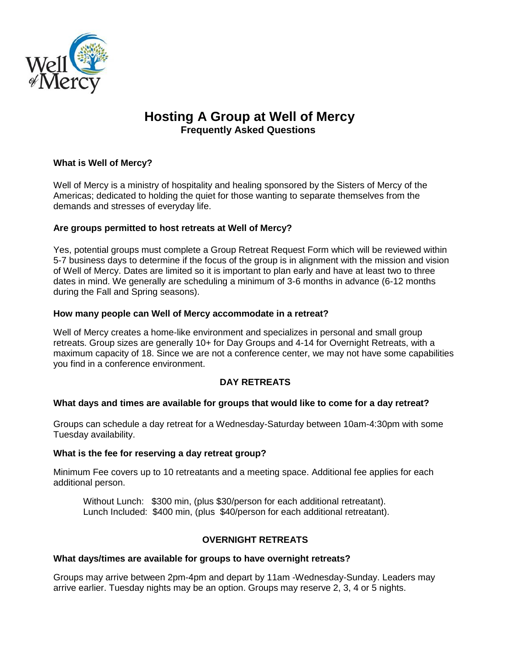

# **Hosting A Group at Well of Mercy Frequently Asked Questions**

# **What is Well of Mercy?**

Well of Mercy is a ministry of hospitality and healing sponsored by the Sisters of Mercy of the Americas; dedicated to holding the quiet for those wanting to separate themselves from the demands and stresses of everyday life.

# **Are groups permitted to host retreats at Well of Mercy?**

Yes, potential groups must complete a Group Retreat Request Form which will be reviewed within 5-7 business days to determine if the focus of the group is in alignment with the mission and vision of Well of Mercy. Dates are limited so it is important to plan early and have at least two to three dates in mind. We generally are scheduling a minimum of 3-6 months in advance (6-12 months during the Fall and Spring seasons).

# **How many people can Well of Mercy accommodate in a retreat?**

Well of Mercy creates a home-like environment and specializes in personal and small group retreats. Group sizes are generally 10+ for Day Groups and 4-14 for Overnight Retreats, with a maximum capacity of 18. Since we are not a conference center, we may not have some capabilities you find in a conference environment.

# **DAY RETREATS**

# **What days and times are available for groups that would like to come for a day retreat?**

Groups can schedule a day retreat for a Wednesday-Saturday between 10am-4:30pm with some Tuesday availability.

#### **What is the fee for reserving a day retreat group?**

Minimum Fee covers up to 10 retreatants and a meeting space. Additional fee applies for each additional person.

Without Lunch: \$300 min, (plus \$30/person for each additional retreatant). Lunch Included: \$400 min, (plus \$40/person for each additional retreatant).

# **OVERNIGHT RETREATS**

#### **What days/times are available for groups to have overnight retreats?**

Groups may arrive between 2pm-4pm and depart by 11am -Wednesday-Sunday. Leaders may arrive earlier. Tuesday nights may be an option. Groups may reserve 2, 3, 4 or 5 nights.